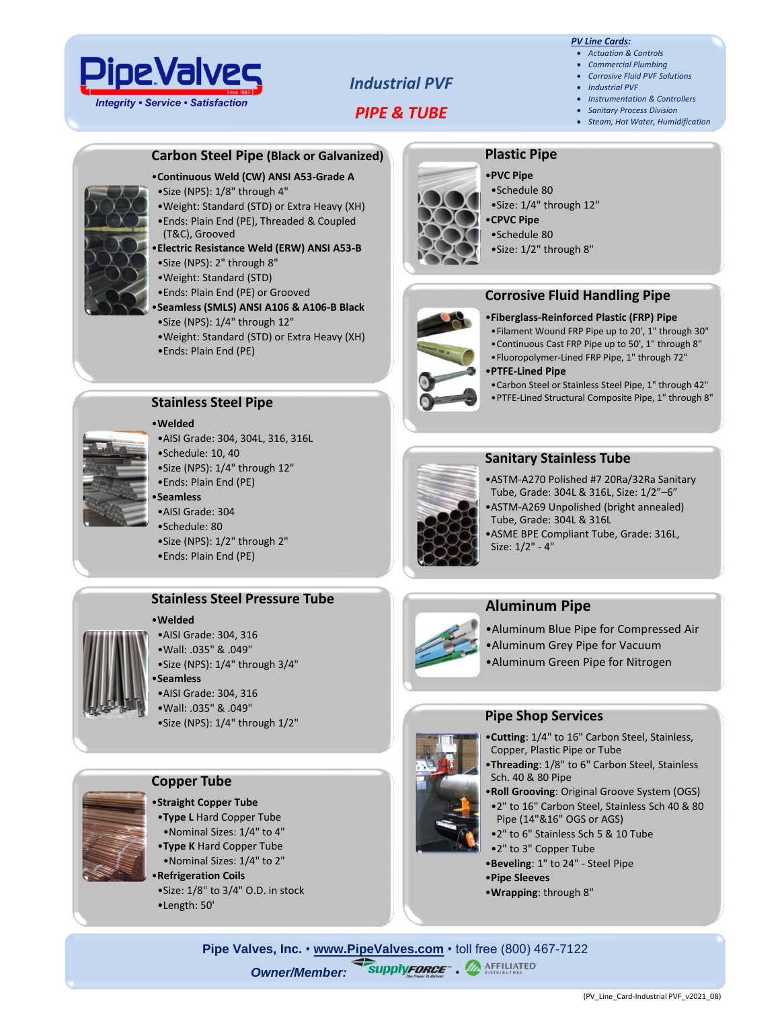

# *Industrial PVF*

*PIPE & TUBE*

#### *PV Line Cards:*

- *Actuation & Controls* • *Commercial Plumbing*
- *Corrosive Fluid PVF Solutions*
- *Industrial PVF*
- *Instrumentation & Controllers*
- *Sanitary Process Division*
- *Steam, Hot Water, Humidification*

#### **Carbon Steel Pipe (Black or Galvanized)**

#### •**Continuous Weld (CW) ANSI A53-Grade A**

- •Size (NPS): 1/8" through 4"
- •Weight: Standard (STD) or Extra Heavy (XH) •Ends: Plain End (PE), Threaded & Coupled (T&C), Grooved
- •**Electric Resistance Weld (ERW) ANSI A53-B** •Size (NPS): 2" through 8"
- •Weight: Standard (STD)
- •Ends: Plain End (PE) or Grooved
- •**Seamless (SMLS) ANSI A106 & A106-B Black** •Size (NPS): 1/4" through 12"
- •Weight: Standard (STD) or Extra Heavy (XH)
- •Ends: Plain End (PE)



#### **Stainless Steel Pipe**

•**Welded** •AISI Grade: 304, 304L, 316, 316L •Schedule: 10, 40

- •Size (NPS): 1/4" through 12"
- •Ends: Plain End (PE)

#### •**Seamless**

•AISI Grade: 304 •Schedule: 80 •Size (NPS): 1/2" through 2" •Ends: Plain End (PE)

#### **Stainless Steel Pressure Tube**

#### •**Welded**

- •AISI Grade: 304, 316 •Wall: .035" & .049" •Size (NPS): 1/4" through 3/4" •**Seamless** •AISI Grade: 304, 316 •Wall: .035" & .049"
	- •Size (NPS): 1/4" through 1/2"

#### **Copper Tube**

- •**Straight Copper Tube** •**Type L** Hard Copper Tube
- •Nominal Sizes: 1/4" to 4"
- •**Type K** Hard Copper Tube •Nominal Sizes: 1/4" to 2"
- •**Refrigeration Coils** •Size: 1/8" to 3/4" O.D. in stock •Length: 50'



#### •**PVC Pipe**

- •Schedule 80
- •Size: 1/4" through 12"
- •**CPVC Pipe**
- •Schedule 80
- •Size: 1/2" through 8"



- •**Fiberglass-Reinforced Plastic (FRP) Pipe**
- •Filament Wound FRP Pipe up to 20', 1" through 30"
- •Continuous Cast FRP Pipe up to 50', 1" through 8"
- •Fluoropolymer-Lined FRP Pipe, 1" through 72"

#### •**PTFE-Lined Pipe**

- •Carbon Steel or Stainless Steel Pipe, 1" through 42"
- •PTFE-Lined Structural Composite Pipe, 1" through 8"



# **Sanitary Stainless Tube**

- •ASTM-A270 Polished #7 20Ra/32Ra Sanitary Tube, Grade: 304L & 316L, Size: 1/2"–6" •ASTM-A269 Unpolished (bright annealed)
- Tube, Grade: 304L & 316L
- •ASME BPE Compliant Tube, Grade: 316L, Size: 1/2" - 4"

# **Aluminum Pipe**

- •Aluminum Blue Pipe for Compressed Air
- •Aluminum Grey Pipe for Vacuum
- •Aluminum Green Pipe for Nitrogen

#### **Pipe Shop Services**

- •**Cutting**: 1/4" to 16" Carbon Steel, Stainless, Copper, Plastic Pipe or Tube
- •**Threading**: 1/8" to 6" Carbon Steel, Stainless Sch. 40 & 80 Pipe
- •**Roll Grooving**: Original Groove System (OGS)
- •2" to 16" Carbon Steel, Stainless Sch 40 & 80 Pipe (14"&16" OGS or AGS)
- •2" to 6" Stainless Sch 5 & 10 Tube
- •2" to 3" Copper Tube
- •**Beveling**: 1" to 24" Steel Pipe
- •**Pipe Sleeves**
	- •**Wrapping**: through 8"

**Pipe Valves, Inc.** • **[www.PipeValves.com](file://///pvi-fps01/Public/Line%20Cards/Columbus/Line%20Cards-Corrosive%20Fluid%20PVF%20Solutions/www.PipeValves.com)** • toll free (800) 467-7122 **Owner/Member: SupplyFORCE", A AFFILIATED** 



- 
-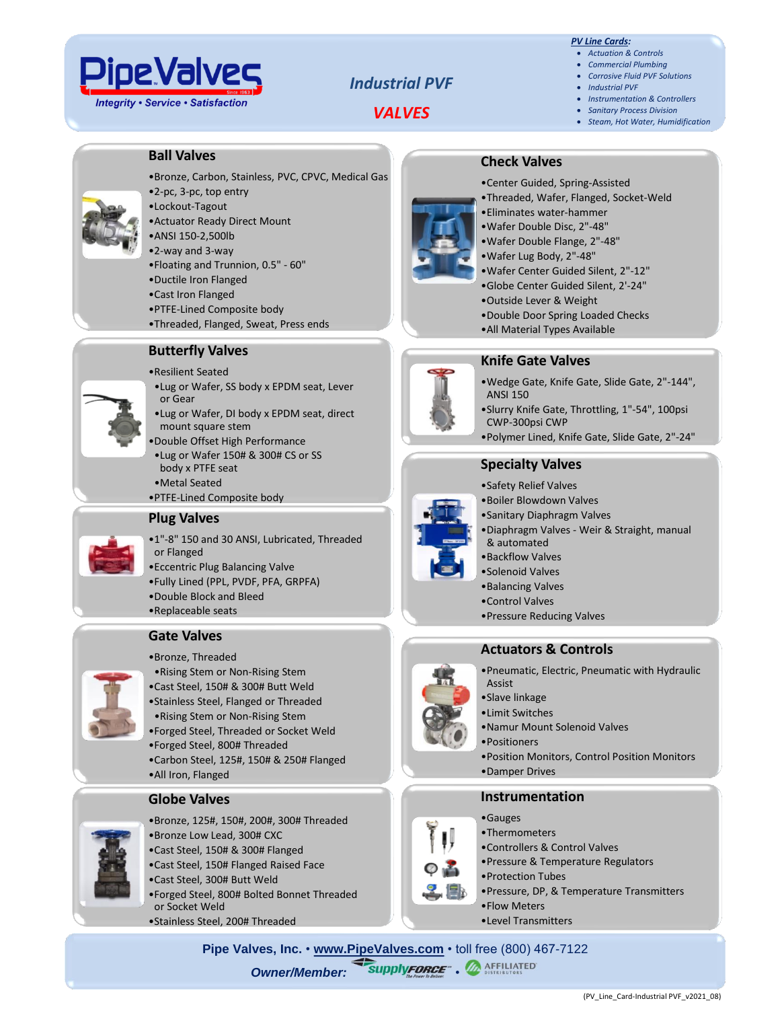

# *Industrial PVF*

# *VALVES*

#### *PV Line Cards:*

- *Actuation & Controls* • *Commercial Plumbing*
- *Corrosive Fluid PVF Solutions*
- *Industrial PVF*
- *Instrumentation & Controllers*
- *Sanitary Process Division*
- *Steam, Hot Water, Humidification*

### **Ball Valves**

- •Bronze, Carbon, Stainless, PVC, CPVC, Medical Gas
- •2-pc, 3-pc, top entry
- •Lockout-Tagout
- •Actuator Ready Direct Mount
- •ANSI 150-2,500lb
- •2-way and 3-way
- •Floating and Trunnion, 0.5" 60"
- •Ductile Iron Flanged
- •Cast Iron Flanged
- •PTFE-Lined Composite body
- •Threaded, Flanged, Sweat, Press ends

#### **Butterfly Valves**

#### •Resilient Seated

- •Lug or Wafer, SS body x EPDM seat, Lever or Gear
- •Lug or Wafer, DI body x EPDM seat, direct mount square stem
- •Double Offset High Performance
- •Lug or Wafer 150# & 300# CS or SS body x PTFE seat
- •Metal Seated
- •PTFE-Lined Composite body

#### **Plug Valves**

- •1"-8" 150 and 30 ANSI, Lubricated, Threaded or Flanged
- •Eccentric Plug Balancing Valve
- •Fully Lined (PPL, PVDF, PFA, GRPFA)
- •Double Block and Bleed
- •Replaceable seats





- •Bronze, Threaded
- •Rising Stem or Non-Rising Stem
- •Cast Steel, 150# & 300# Butt Weld
- •Stainless Steel, Flanged or Threaded •Rising Stem or Non-Rising Stem
- •Forged Steel, Threaded or Socket Weld
- •Forged Steel, 800# Threaded
- •Carbon Steel, 125#, 150# & 250# Flanged
- •All Iron, Flanged

## **Globe Valves**



- •Bronze, 125#, 150#, 200#, 300# Threaded •Bronze Low Lead, 300# CXC
- •Cast Steel, 150# & 300# Flanged
- •Cast Steel, 150# Flanged Raised Face
- •Cast Steel, 300# Butt Weld
- •Forged Steel, 800# Bolted Bonnet Threaded or Socket Weld
- •Stainless Steel, 200# Threaded



•Center Guided, Spring-Assisted •Threaded, Wafer, Flanged, Socket-Weld

**Check Valves**

- •Eliminates water-hammer
- •Wafer Double Disc, 2"-48"
- •Wafer Double Flange, 2"-48"
- •Wafer Lug Body, 2"-48"
- •Wafer Center Guided Silent, 2"-12"
- •Globe Center Guided Silent, 2'-24"
- •Outside Lever & Weight
- •Double Door Spring Loaded Checks
- •All Material Types Available



- **Knife Gate Valves** •Wedge Gate, Knife Gate, Slide Gate, 2"-144",
- ANSI 150 •Slurry Knife Gate, Throttling, 1"-54", 100psi
- CWP-300psi CWP
- •Polymer Lined, Knife Gate, Slide Gate, 2"-24"

## **Specialty Valves**

- •Safety Relief Valves
- •Boiler Blowdown Valves
- •Sanitary Diaphragm Valves
- •Diaphragm Valves Weir & Straight, manual & automated
- •Backflow Valves
- •Solenoid Valves
- •Balancing Valves
- •Control Valves
- •Pressure Reducing Valves

## **Actuators & Controls**

- •Pneumatic, Electric, Pneumatic with Hydraulic Assist
- •Slave linkage
- •Limit Switches
- •Namur Mount Solenoid Valves
- •Positioners
- 
- •Position Monitors, Control Position Monitors
- •Damper Drives

#### **Instrumentation**

- •Gauges
- •Thermometers
- •Controllers & Control Valves
- •Pressure & Temperature Regulators
- •Protection Tubes
- •Pressure, DP, & Temperature Transmitters

(PV\_Line\_Card-Industrial PVF\_v2021\_08)

- •Flow Meters
- •Level Transmitters

**Pipe Valves, Inc.** • **[www.PipeValves.com](file://///pvi-fps01/Public/Line%20Cards/Columbus/Line%20Cards-Corrosive%20Fluid%20PVF%20Solutions/www.PipeValves.com)** • toll free (800) 467-7122 **Owner/Member: SupplyFORCE", A AFFILIATED**